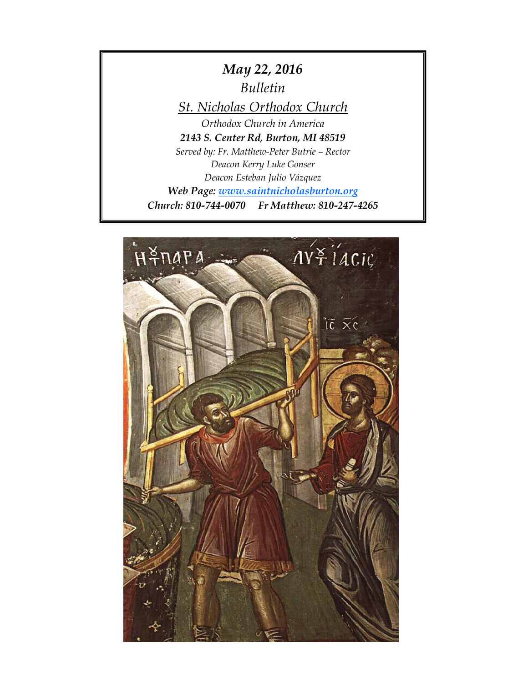*May 22, 2016*

*Bulletin*

*St. Nicholas Orthodox Church*

*Orthodox Church in America 2143 S. Center Rd, Burton, MI 48519 Served by: Fr. Matthew-Peter Butrie – Rector Deacon Kerry Luke Gonser Deacon Esteban Julio Vázquez Web Page: [www.saintnicholasburton.org](http://www.saintnicholasburton.org/) Church: 810-744-0070 Fr Matthew: 810-247-4265*

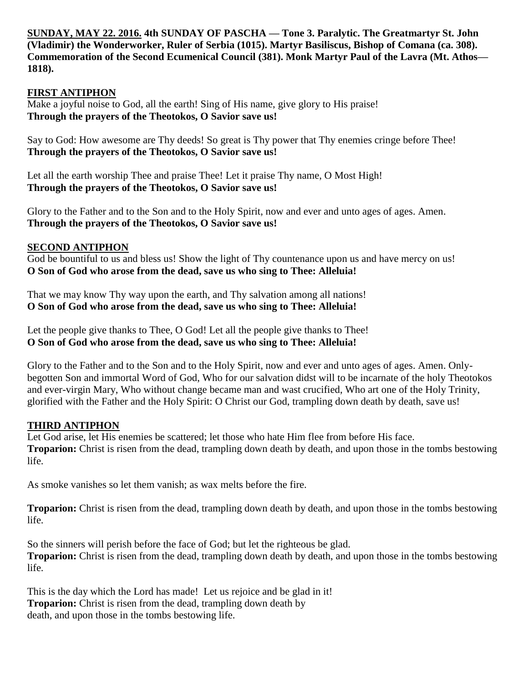**SUNDAY, MAY 22. 2016. 4th SUNDAY OF PASCHA — Tone 3. Paralytic. The Greatmartyr St. John (Vladimir) the Wonderworker, Ruler of Serbia (1015). Martyr Basiliscus, Bishop of Comana (ca. 308). Commemoration of the Second Ecumenical Council (381). Monk Martyr Paul of the Lavra (Mt. Athos— 1818).**

#### **FIRST ANTIPHON**

Make a joyful noise to God, all the earth! Sing of His name, give glory to His praise! **Through the prayers of the Theotokos, O Savior save us!**

Say to God: How awesome are Thy deeds! So great is Thy power that Thy enemies cringe before Thee! **Through the prayers of the Theotokos, O Savior save us!**

Let all the earth worship Thee and praise Thee! Let it praise Thy name, O Most High! **Through the prayers of the Theotokos, O Savior save us!**

Glory to the Father and to the Son and to the Holy Spirit, now and ever and unto ages of ages. Amen. **Through the prayers of the Theotokos, O Savior save us!**

#### **SECOND ANTIPHON**

God be bountiful to us and bless us! Show the light of Thy countenance upon us and have mercy on us! **O Son of God who arose from the dead, save us who sing to Thee: Alleluia!**

That we may know Thy way upon the earth, and Thy salvation among all nations! **O Son of God who arose from the dead, save us who sing to Thee: Alleluia!**

Let the people give thanks to Thee, O God! Let all the people give thanks to Thee! **O Son of God who arose from the dead, save us who sing to Thee: Alleluia!**

Glory to the Father and to the Son and to the Holy Spirit, now and ever and unto ages of ages. Amen. Onlybegotten Son and immortal Word of God, Who for our salvation didst will to be incarnate of the holy Theotokos and ever-virgin Mary, Who without change became man and wast crucified, Who art one of the Holy Trinity, glorified with the Father and the Holy Spirit: O Christ our God, trampling down death by death, save us!

#### **THIRD ANTIPHON**

Let God arise, let His enemies be scattered; let those who hate Him flee from before His face. **Troparion:** Christ is risen from the dead, trampling down death by death, and upon those in the tombs bestowing life.

As smoke vanishes so let them vanish; as wax melts before the fire.

**Troparion:** Christ is risen from the dead, trampling down death by death, and upon those in the tombs bestowing life.

So the sinners will perish before the face of God; but let the righteous be glad. **Troparion:** Christ is risen from the dead, trampling down death by death, and upon those in the tombs bestowing life.

This is the day which the Lord has made! Let us rejoice and be glad in it! **Troparion:** Christ is risen from the dead, trampling down death by death, and upon those in the tombs bestowing life.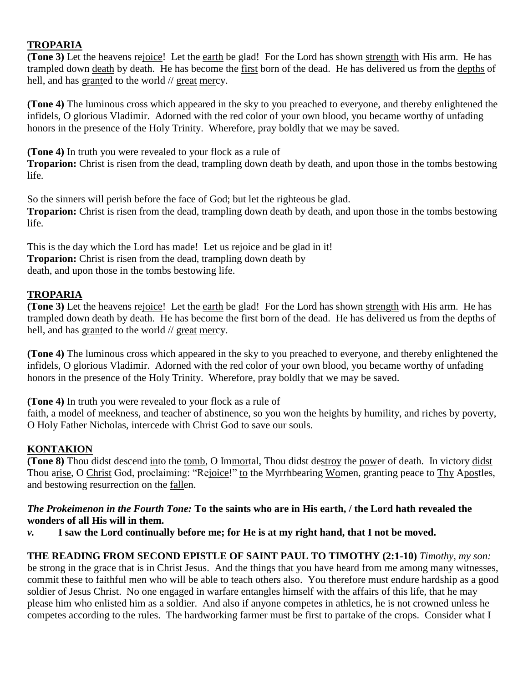## **TROPARIA**

**(Tone 3)** Let the heavens rejoice! Let the earth be glad! For the Lord has shown strength with His arm. He has trampled down death by death. He has become the first born of the dead. He has delivered us from the depths of hell, and has granted to the world // great mercy.

**(Tone 4)** The luminous cross which appeared in the sky to you preached to everyone, and thereby enlightened the infidels, O glorious Vladimir. Adorned with the red color of your own blood, you became worthy of unfading honors in the presence of the Holy Trinity. Wherefore, pray boldly that we may be saved.

**(Tone 4)** In truth you were revealed to your flock as a rule of

**Troparion:** Christ is risen from the dead, trampling down death by death, and upon those in the tombs bestowing life.

So the sinners will perish before the face of God; but let the righteous be glad. **Troparion:** Christ is risen from the dead, trampling down death by death, and upon those in the tombs bestowing life.

This is the day which the Lord has made! Let us rejoice and be glad in it! **Troparion:** Christ is risen from the dead, trampling down death by death, and upon those in the tombs bestowing life.

## **TROPARIA**

**(Tone 3)** Let the heavens rejoice! Let the earth be glad! For the Lord has shown strength with His arm. He has trampled down death by death. He has become the first born of the dead. He has delivered us from the depths of hell, and has granted to the world // great mercy.

**(Tone 4)** The luminous cross which appeared in the sky to you preached to everyone, and thereby enlightened the infidels, O glorious Vladimir. Adorned with the red color of your own blood, you became worthy of unfading honors in the presence of the Holy Trinity. Wherefore, pray boldly that we may be saved.

**(Tone 4)** In truth you were revealed to your flock as a rule of

faith, a model of meekness, and teacher of abstinence, so you won the heights by humility, and riches by poverty, O Holy Father Nicholas, intercede with Christ God to save our souls.

## **KONTAKION**

**(Tone 8)** Thou didst descend into the tomb, O Immortal, Thou didst destroy the power of death. In victory didst Thou arise, O Christ God, proclaiming: "Rejoice!" to the Myrrhbearing Women, granting peace to Thy Apostles, and bestowing resurrection on the fallen.

#### *The Prokeimenon in the Fourth Tone:* **To the saints who are in His earth, / the Lord hath revealed the wonders of all His will in them.**

*v.* **I saw the Lord continually before me; for He is at my right hand, that I not be moved.**

## **THE READING FROM SECOND EPISTLE OF SAINT PAUL TO TIMOTHY (2:1-10)** *Timothy, my son:*

be strong in the grace that is in Christ Jesus.And the things that you have heard from me among many witnesses, commit these to faithful men who will be able to teach others also.You therefore must endure hardship as a good soldier of Jesus Christ.No one engaged in warfare entangles himself with the affairs of this life, that he may please him who enlisted him as a soldier.And also if anyone competes in athletics, he is not crowned unless he competes according to the rules. The hardworking farmer must be first to partake of the crops.Consider what I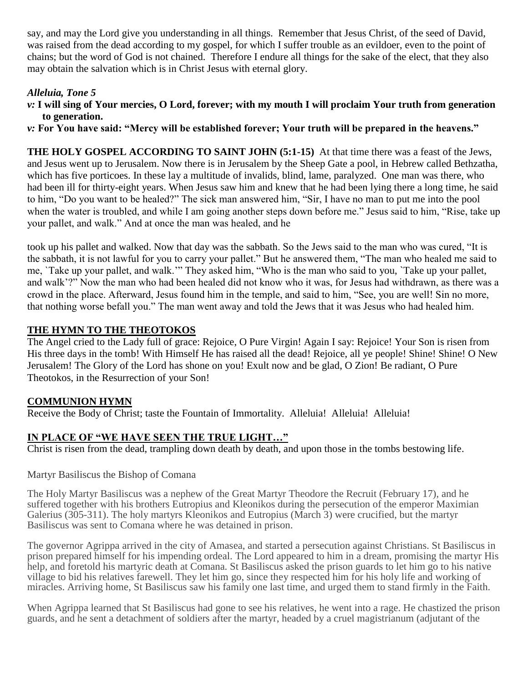say, and may the Lord give you understanding in all things.Remember that Jesus Christ, of the seed of David, was raised from the dead according to my gospel, for which I suffer trouble as an evildoer, even to the point of chains; but the word of God is not chained.Therefore I endure all things for the sake of the elect, that they also may obtain the salvation which is in Christ Jesus with eternal glory.

## *Alleluia, Tone 5*

*v:* **I will sing of Your mercies, O Lord, forever; with my mouth I will proclaim Your truth from generation to generation.**

*v:* **For You have said: "Mercy will be established forever; Your truth will be prepared in the heavens."** 

**THE HOLY GOSPEL ACCORDING TO SAINT JOHN (5:1-15)** At that time there was a feast of the Jews, and Jesus went up to Jerusalem. Now there is in Jerusalem by the Sheep Gate a pool, in Hebrew called Bethzatha, which has five porticoes. In these lay a multitude of invalids, blind, lame, paralyzed. One man was there, who had been ill for thirty-eight years. When Jesus saw him and knew that he had been lying there a long time, he said to him, "Do you want to be healed?" The sick man answered him, "Sir, I have no man to put me into the pool when the water is troubled, and while I am going another steps down before me." Jesus said to him, "Rise, take up your pallet, and walk." And at once the man was healed, and he

took up his pallet and walked. Now that day was the sabbath. So the Jews said to the man who was cured, "It is the sabbath, it is not lawful for you to carry your pallet." But he answered them, "The man who healed me said to me, `Take up your pallet, and walk.'" They asked him, "Who is the man who said to you, `Take up your pallet, and walk'?" Now the man who had been healed did not know who it was, for Jesus had withdrawn, as there was a crowd in the place. Afterward, Jesus found him in the temple, and said to him, "See, you are well! Sin no more, that nothing worse befall you." The man went away and told the Jews that it was Jesus who had healed him.

#### **THE HYMN TO THE THEOTOKOS**

The Angel cried to the Lady full of grace: Rejoice, O Pure Virgin! Again I say: Rejoice! Your Son is risen from His three days in the tomb! With Himself He has raised all the dead! Rejoice, all ye people! Shine! Shine! O New Jerusalem! The Glory of the Lord has shone on you! Exult now and be glad, O Zion! Be radiant, O Pure Theotokos, in the Resurrection of your Son!

## **COMMUNION HYMN**

Receive the Body of Christ; taste the Fountain of Immortality. Alleluia! Alleluia! Alleluia!

## **IN PLACE OF "WE HAVE SEEN THE TRUE LIGHT…"**

Christ is risen from the dead, trampling down death by death, and upon those in the tombs bestowing life.

#### Martyr Basiliscus the Bishop of Comana

The Holy Martyr Basiliscus was a nephew of the Great Martyr Theodore the Recruit (February 17), and he suffered together with his brothers Eutropius and Kleonikos during the persecution of the emperor Maximian Galerius (305-311). The holy martyrs Kleonikos and Eutropius (March 3) were crucified, but the martyr Basiliscus was sent to Comana where he was detained in prison.

The governor Agrippa arrived in the city of Amasea, and started a persecution against Christians. St Basiliscus in prison prepared himself for his impending ordeal. The Lord appeared to him in a dream, promising the martyr His help, and foretold his martyric death at Comana. St Basiliscus asked the prison guards to let him go to his native village to bid his relatives farewell. They let him go, since they respected him for his holy life and working of miracles. Arriving home, St Basiliscus saw his family one last time, and urged them to stand firmly in the Faith.

When Agrippa learned that St Basiliscus had gone to see his relatives, he went into a rage. He chastized the prison guards, and he sent a detachment of soldiers after the martyr, headed by a cruel magistrianum (adjutant of the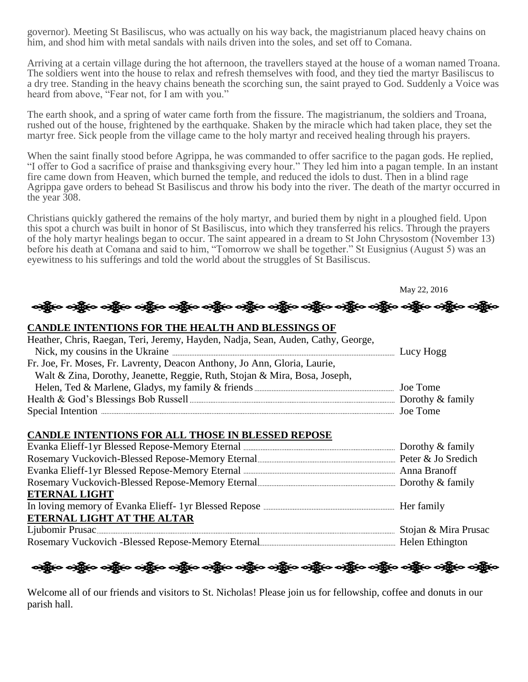governor). Meeting St Basiliscus, who was actually on his way back, the magistrianum placed heavy chains on him, and shod him with metal sandals with nails driven into the soles, and set off to Comana.

Arriving at a certain village during the hot afternoon, the travellers stayed at the house of a woman named Troana. The soldiers went into the house to relax and refresh themselves with food, and they tied the martyr Basiliscus to a dry tree. Standing in the heavy chains beneath the scorching sun, the saint prayed to God. Suddenly a Voice was heard from above, "Fear not, for I am with you."

The earth shook, and a spring of water came forth from the fissure. The magistrianum, the soldiers and Troana, rushed out of the house, frightened by the earthquake. Shaken by the miracle which had taken place, they set the martyr free. Sick people from the village came to the holy martyr and received healing through his prayers.

When the saint finally stood before Agrippa, he was commanded to offer sacrifice to the pagan gods. He replied, "I offer to God a sacrifice of praise and thanksgiving every hour." They led him into a pagan temple. In an instant fire came down from Heaven, which burned the temple, and reduced the idols to dust. Then in a blind rage Agrippa gave orders to behead St Basiliscus and throw his body into the river. The death of the martyr occurred in the year 308.

Christians quickly gathered the remains of the holy martyr, and buried them by night in a ploughed field. Upon this spot a church was built in honor of St Basiliscus, into which they transferred his relics. Through the prayers of the holy martyr healings began to occur. The saint appeared in a dream to St John Chrysostom (November 13) before his death at Comana and said to him, "Tomorrow we shall be together." St Eusignius (August 5) was an eyewitness to his sufferings and told the world about the struggles of St Basiliscus.

May 22, 2016 သို့်လေသို့နီလ ဝတ္ထိနီလ ဝတ္ထိနီလ ဝတ္ထိနီလ ဝတ္ထိနီလ ဝတ္ထိနီလ ဝတ္ထိနီလ ဝတ္ထိနီလ ဝတ္ထိနီလ ဝတ္ထိနီလ ဝတ္ထိန

#### **CANDLE INTENTIONS FOR THE HEALTH AND BLESSINGS OF**

| Heather, Chris, Raegan, Teri, Jeremy, Hayden, Nadja, Sean, Auden, Cathy, George, |  |
|----------------------------------------------------------------------------------|--|
|                                                                                  |  |
| Fr. Joe, Fr. Moses, Fr. Lavrenty, Deacon Anthony, Jo Ann, Gloria, Laurie,        |  |
| Walt & Zina, Dorothy, Jeanette, Reggie, Ruth, Stojan & Mira, Bosa, Joseph,       |  |
|                                                                                  |  |
|                                                                                  |  |
|                                                                                  |  |

#### **CANDLE INTENTIONS FOR ALL THOSE IN BLESSED REPOSE**

| <b>ETERNAL LIGHT</b>       |  |
|----------------------------|--|
|                            |  |
| ETERNAL LIGHT AT THE ALTAR |  |
|                            |  |
|                            |  |

એક્ષેત્ર એક્ષેત્ર એક્ષેત્ર એક્ષેત્ર એક્ષેત્ર એક્ષેત્ર એક્ષેત્ર એક્ષેત્ર એક્ષેત્ર એક્ષેત્ર એક્ષેત્ર એક્ષેત્ર

Welcome all of our friends and visitors to St. Nicholas! Please join us for fellowship, coffee and donuts in our parish hall.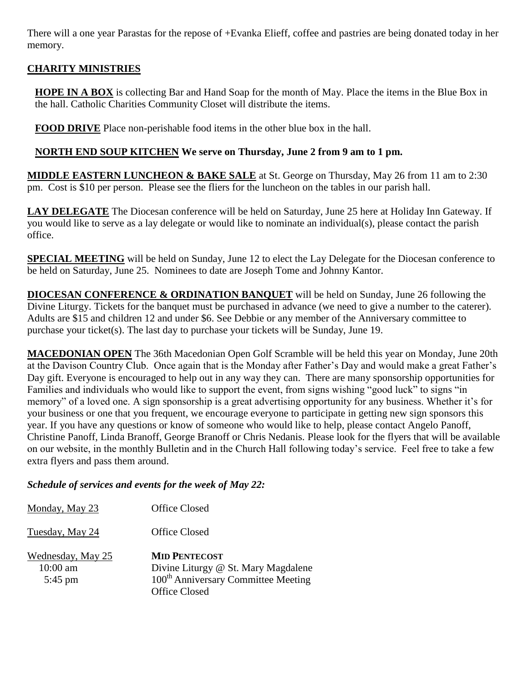There will a one year Parastas for the repose of +Evanka Elieff, coffee and pastries are being donated today in her memory.

### **CHARITY MINISTRIES**

**HOPE IN A BOX** is collecting Bar and Hand Soap for the month of May. Place the items in the Blue Box in the hall. Catholic Charities Community Closet will distribute the items.

**FOOD DRIVE** Place non-perishable food items in the other blue box in the hall.

#### **NORTH END SOUP KITCHEN We serve on Thursday, June 2 from 9 am to 1 pm.**

**MIDDLE EASTERN LUNCHEON & BAKE SALE** at St. George on Thursday, May 26 from 11 am to 2:30 pm. Cost is \$10 per person. Please see the fliers for the luncheon on the tables in our parish hall.

**LAY DELEGATE** The Diocesan conference will be held on Saturday, June 25 here at Holiday Inn Gateway. If you would like to serve as a lay delegate or would like to nominate an individual(s), please contact the parish office.

**SPECIAL MEETING** will be held on Sunday, June 12 to elect the Lay Delegate for the Diocesan conference to be held on Saturday, June 25. Nominees to date are Joseph Tome and Johnny Kantor.

**DIOCESAN CONFERENCE & ORDINATION BANQUET** will be held on Sunday, June 26 following the Divine Liturgy. Tickets for the banquet must be purchased in advance (we need to give a number to the caterer). Adults are \$15 and children 12 and under \$6. See Debbie or any member of the Anniversary committee to purchase your ticket(s). The last day to purchase your tickets will be Sunday, June 19.

**MACEDONIAN OPEN** The 36th Macedonian Open Golf Scramble will be held this year on Monday, June 20th at the Davison Country Club. Once again that is the Monday after Father's Day and would make a great Father's Day gift. Everyone is encouraged to help out in any way they can. There are many sponsorship opportunities for Families and individuals who would like to support the event, from signs wishing "good luck" to signs "in memory" of a loved one. A sign sponsorship is a great advertising opportunity for any business. Whether it's for your business or one that you frequent, we encourage everyone to participate in getting new sign sponsors this year. If you have any questions or know of someone who would like to help, please contact Angelo Panoff, Christine Panoff, Linda Branoff, George Branoff or Chris Nedanis. Please look for the flyers that will be available on our website, in the monthly Bulletin and in the Church Hall following today's service. Feel free to take a few extra flyers and pass them around.

#### *Schedule of services and events for the week of May 22:*

| Monday, May 23                               | Office Closed                                                                                                                          |
|----------------------------------------------|----------------------------------------------------------------------------------------------------------------------------------------|
| Tuesday, May 24                              | Office Closed                                                                                                                          |
| Wednesday, May 25<br>$10:00$ am<br>$5:45$ pm | <b>MID PENTECOST</b><br>Divine Liturgy @ St. Mary Magdalene<br>100 <sup>th</sup> Anniversary Committee Meeting<br><b>Office Closed</b> |